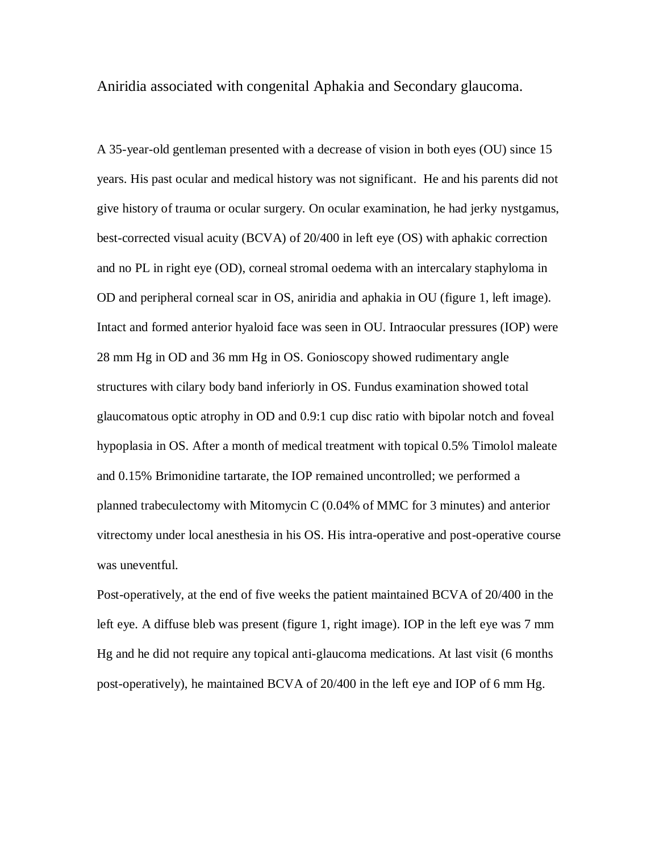Aniridia associated with congenital Aphakia and Secondary glaucoma.

A 35-year-old gentleman presented with a decrease of vision in both eyes (OU) since 15 years. His past ocular and medical history was not significant. He and his parents did not give history of trauma or ocular surgery. On ocular examination, he had jerky nystgamus, best-corrected visual acuity (BCVA) of 20/400 in left eye (OS) with aphakic correction and no PL in right eye (OD), corneal stromal oedema with an intercalary staphyloma in OD and peripheral corneal scar in OS, aniridia and aphakia in OU (figure 1, left image). Intact and formed anterior hyaloid face was seen in OU. Intraocular pressures (IOP) were 28 mm Hg in OD and 36 mm Hg in OS. Gonioscopy showed rudimentary angle structures with cilary body band inferiorly in OS. Fundus examination showed total glaucomatous optic atrophy in OD and 0.9:1 cup disc ratio with bipolar notch and foveal hypoplasia in OS. After a month of medical treatment with topical 0.5% Timolol maleate and 0.15% Brimonidine tartarate, the IOP remained uncontrolled; we performed a planned trabeculectomy with Mitomycin C (0.04% of MMC for 3 minutes) and anterior vitrectomy under local anesthesia in his OS. His intra-operative and post-operative course was uneventful.

Post-operatively, at the end of five weeks the patient maintained BCVA of 20/400 in the left eye. A diffuse bleb was present (figure 1, right image). IOP in the left eye was 7 mm Hg and he did not require any topical anti-glaucoma medications. At last visit (6 months post-operatively), he maintained BCVA of 20/400 in the left eye and IOP of 6 mm Hg.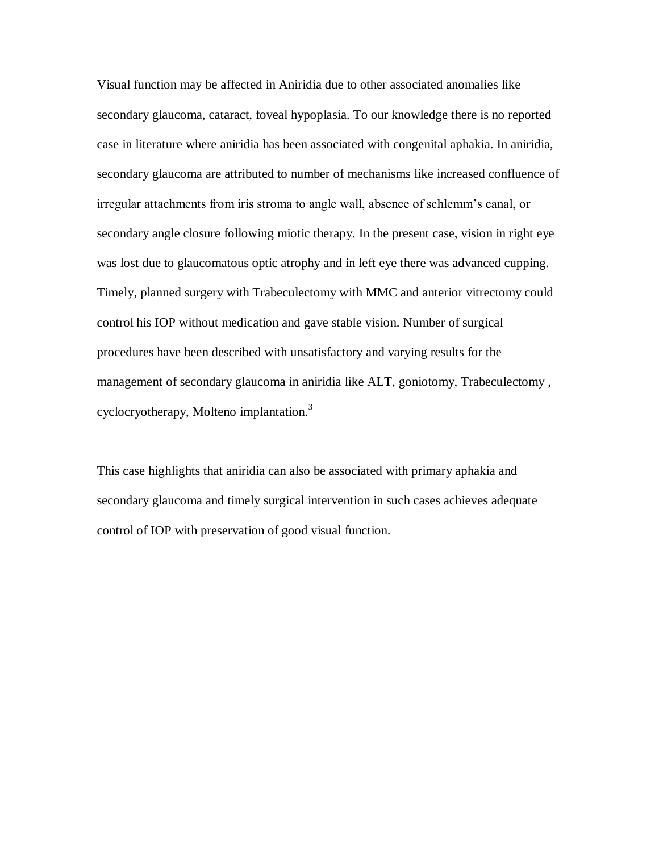Visual function may be affected in Aniridia due to other associated anomalies like secondary glaucoma, cataract, foveal hypoplasia. To our knowledge there is no reported case in literature where aniridia has been associated with congenital aphakia. In aniridia, secondary glaucoma are attributed to number of mechanisms like increased confluence of irregular attachments from iris stroma to angle wall, absence of schlemm's canal, or secondary angle closure following miotic therapy. In the present case, vision in right eye was lost due to glaucomatous optic atrophy and in left eye there was advanced cupping. Timely, planned surgery with Trabeculectomy with MMC and anterior vitrectomy could control his IOP without medication and gave stable vision. Number of surgical procedures have been described with unsatisfactory and varying results for the management of secondary glaucoma in aniridia like ALT, goniotomy, Trabeculectomy , cyclocryotherapy, Molteno implantation.<sup>3</sup>

This case highlights that aniridia can also be associated with primary aphakia and secondary glaucoma and timely surgical intervention in such cases achieves adequate control of IOP with preservation of good visual function.